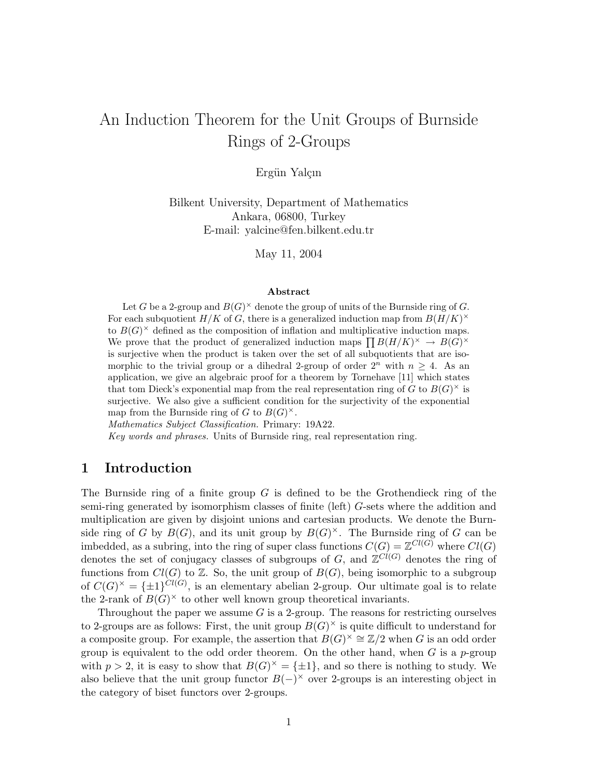# An Induction Theorem for the Unit Groups of Burnside Rings of 2-Groups

#### Ergün Yalçın

Bilkent University, Department of Mathematics Ankara, 06800, Turkey E-mail: yalcine@fen.bilkent.edu.tr

May 11, 2004

#### Abstract

Let G be a 2-group and  $B(G)^{\times}$  denote the group of units of the Burnside ring of G. For each subquotient  $H/K$  of G, there is a generalized induction map from  $B(H/K)^{\times}$ to  $B(G)^\times$  defined as the composition of inflation and multiplicative induction maps.  $W$  to  $D(G)$  defined as the composition of inflation and multiplicative induction maps.<br>We prove that the product of generalized induction maps  $\prod B(H/K)^{\times} \to B(G)^{\times}$ is surjective when the product is taken over the set of all subquotients that are isomorphic to the trivial group or a dihedral 2-group of order  $2^n$  with  $n \geq 4$ . As an application, we give an algebraic proof for a theorem by Tornehave [11] which states that tom Dieck's exponential map from the real representation ring of  $\tilde{G}$  to  $B(G)^{\times}$  is surjective. We also give a sufficient condition for the surjectivity of the exponential map from the Burnside ring of G to  $B(G)^{\times}$ .

Mathematics Subject Classification. Primary: 19A22.

Key words and phrases. Units of Burnside ring, real representation ring.

### 1 Introduction

The Burnside ring of a finite group  $G$  is defined to be the Grothendieck ring of the semi-ring generated by isomorphism classes of finite (left) G-sets where the addition and multiplication are given by disjoint unions and cartesian products. We denote the Burnside ring of G by  $B(G)$ , and its unit group by  $B(G)^{\times}$ . The Burnside ring of G can be imbedded, as a subring, into the ring of super class functions  $C(G) = \mathbb{Z}^{Cl(G)}$  where  $Cl(G)$ denotes the set of conjugacy classes of subgroups of G, and  $\mathbb{Z}^{Cl(G)}$  denotes the ring of functions from  $Cl(G)$  to  $\mathbb{Z}$ . So, the unit group of  $B(G)$ , being isomorphic to a subgroup of  $C(G)^{\times} = {\pm 1}^{Cl(G)}$ , is an elementary abelian 2-group. Our ultimate goal is to relate the 2-rank of  $B(G)^\times$  to other well known group theoretical invariants.

Throughout the paper we assume  $G$  is a 2-group. The reasons for restricting ourselves to 2-groups are as follows: First, the unit group  $B(G)^{\times}$  is quite difficult to understand for a composite group. For example, the assertion that  $B(G)^{\times} \cong \mathbb{Z}/2$  when G is an odd order group is equivalent to the odd order theorem. On the other hand, when  $G$  is a p-group with  $p > 2$ , it is easy to show that  $B(G)^{\times} = \{\pm 1\}$ , and so there is nothing to study. We also believe that the unit group functor  $B(-)^\times$  over 2-groups is an interesting object in the category of biset functors over 2-groups.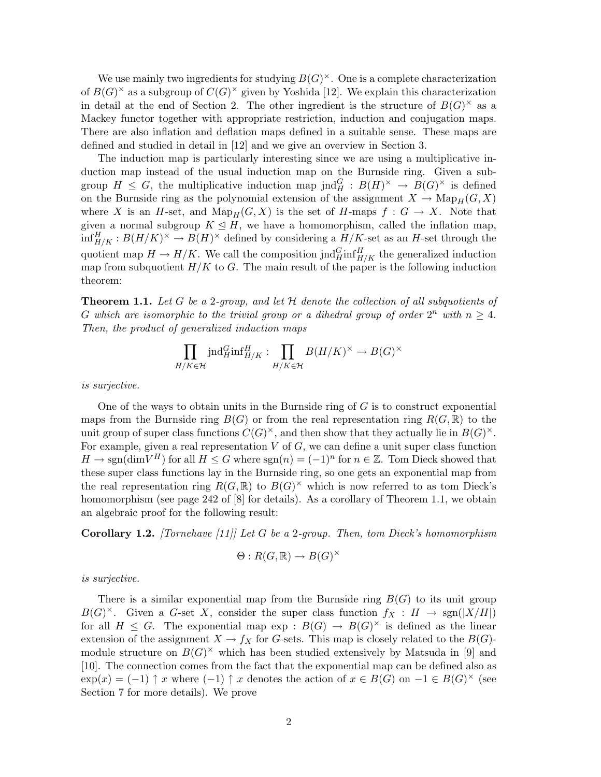We use mainly two ingredients for studying  $B(G)^{\times}$ . One is a complete characterization of  $B(G)^{\times}$  as a subgroup of  $C(G)^{\times}$  given by Yoshida [12]. We explain this characterization in detail at the end of Section 2. The other ingredient is the structure of  $B(G)^{\times}$  as a Mackey functor together with appropriate restriction, induction and conjugation maps. There are also inflation and deflation maps defined in a suitable sense. These maps are defined and studied in detail in [12] and we give an overview in Section 3.

The induction map is particularly interesting since we are using a multiplicative induction map instead of the usual induction map on the Burnside ring. Given a subgroup  $H \leq G$ , the multiplicative induction map jnd $_G^G : B(H)^{\times} \to B(G)^{\times}$  is defined on the Burnside ring as the polynomial extension of the assignment  $X \to \text{Map}_H(G, X)$ where X is an H-set, and  $\text{Map}_H(G, X)$  is the set of H-maps  $f : G \to X$ . Note that given a normal subgroup  $K \leq H$ , we have a homomorphism, called the inflation map,  $\inf_{H/K}^H : B(H/K)^{\times} \to B(H)^{\times}$  defined by considering a  $H/K$ -set as an H-set through the quotient map  $H \to H/K$ . We call the composition jnd $_{H/K}^G$  inf $_{H/K}^H$  the generalized induction map from subquotient  $H/K$  to G. The main result of the paper is the following induction theorem:

**Theorem 1.1.** Let G be a 2-group, and let  $H$  denote the collection of all subquotients of G which are isomorphic to the trivial group or a dihedral group of order  $2^n$  with  $n \geq 4$ . Then, the product of generalized induction maps

$$
\prod_{H/K \in \mathcal{H}} \text{ind}_{H}^{G} \text{inf}_{H/K}^{H} : \prod_{H/K \in \mathcal{H}} B(H/K)^{\times} \to B(G)^{\times}
$$

is surjective.

One of the ways to obtain units in the Burnside ring of  $G$  is to construct exponential maps from the Burnside ring  $B(G)$  or from the real representation ring  $R(G, \mathbb{R})$  to the unit group of super class functions  $C(G)^{\times}$ , and then show that they actually lie in  $B(G)^{\times}$ . For example, given a real representation  $V$  of  $G$ , we can define a unit super class function  $H \to \text{sgn}(\text{dim} V^H)$  for all  $H \leq G$  where  $\text{sgn}(n) = (-1)^n$  for  $n \in \mathbb{Z}$ . Tom Dieck showed that these super class functions lay in the Burnside ring, so one gets an exponential map from the real representation ring  $R(G,\mathbb{R})$  to  $B(G)^{\times}$  which is now referred to as tom Dieck's homomorphism (see page 242 of [8] for details). As a corollary of Theorem 1.1, we obtain an algebraic proof for the following result:

**Corollary 1.2.** [Tornehave [11]] Let G be a 2-group. Then, tom Dieck's homomorphism

$$
\Theta: R(G, \mathbb{R}) \to B(G)^{\times}
$$

is surjective.

There is a similar exponential map from the Burnside ring  $B(G)$  to its unit group  $B(G)^{\times}$ . Given a G-set X, consider the super class function  $f_X : H \to \text{sgn}(|X/H|)$ for all  $H \leq G$ . The exponential map  $\exp : B(G) \to B(G)^{\times}$  is defined as the linear extension of the assignment  $X \to f_X$  for G-sets. This map is closely related to the  $B(G)$ module structure on  $B(G)^{\times}$  which has been studied extensively by Matsuda in [9] and [10]. The connection comes from the fact that the exponential map can be defined also as  $\exp(x) = (-1)$   $\uparrow x$  where  $(-1)$   $\uparrow x$  denotes the action of  $x \in B(G)$  on  $-1 \in B(G)^{\times}$  (see Section 7 for more details). We prove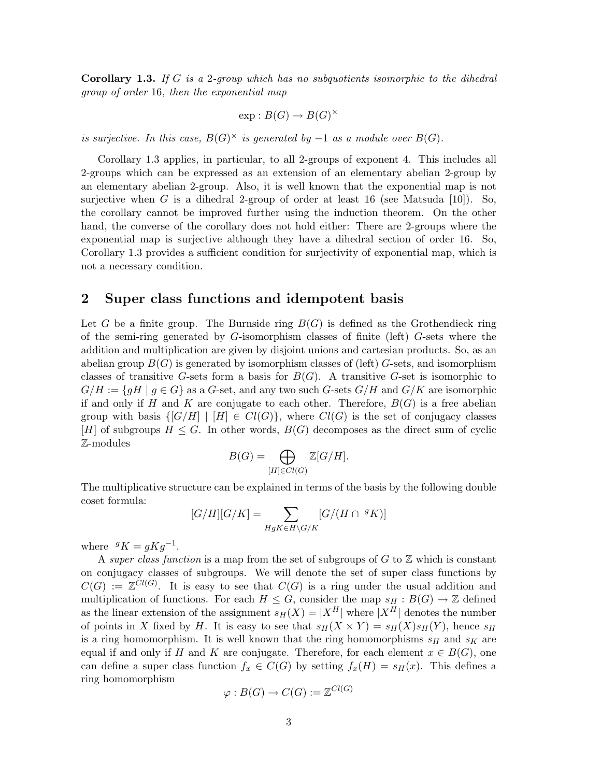**Corollary 1.3.** If G is a 2-group which has no subquotients isomorphic to the dihedral group of order 16, then the exponential map

$$
\exp: B(G) \to B(G)^{\times}
$$

is surjective. In this case,  $B(G)^\times$  is generated by  $-1$  as a module over  $B(G)$ .

Corollary 1.3 applies, in particular, to all 2-groups of exponent 4. This includes all 2-groups which can be expressed as an extension of an elementary abelian 2-group by an elementary abelian 2-group. Also, it is well known that the exponential map is not surjective when G is a dihedral 2-group of order at least 16 (see Matsuda [10]). So, the corollary cannot be improved further using the induction theorem. On the other hand, the converse of the corollary does not hold either: There are 2-groups where the exponential map is surjective although they have a dihedral section of order 16. So, Corollary 1.3 provides a sufficient condition for surjectivity of exponential map, which is not a necessary condition.

## 2 Super class functions and idempotent basis

Let G be a finite group. The Burnside ring  $B(G)$  is defined as the Grothendieck ring of the semi-ring generated by  $G$ -isomorphism classes of finite (left)  $G$ -sets where the addition and multiplication are given by disjoint unions and cartesian products. So, as an abelian group  $B(G)$  is generated by isomorphism classes of (left) G-sets, and isomorphism classes of transitive G-sets form a basis for  $B(G)$ . A transitive G-set is isomorphic to  $G/H := \{gH \mid g \in G\}$  as a G-set, and any two such G-sets  $G/H$  and  $G/K$  are isomorphic if and only if H and K are conjugate to each other. Therefore,  $B(G)$  is a free abelian group with basis  $\{[G/H] | [H] \in Cl(G)\}$ , where  $Cl(G)$  is the set of conjugacy classes [H] of subgroups  $H \leq G$ . In other words,  $B(G)$  decomposes as the direct sum of cyclic Z-modules

$$
B(G) = \bigoplus_{[H] \in Cl(G)} \mathbb{Z}[G/H].
$$

The multiplicative structure can be explained in terms of the basis by the following double coset formula:

$$
[G/H][G/K] = \sum_{HgK \in H\backslash G/K} [G/(H \cap {}^{g}K)]
$$

where  $gK = gKg^{-1}$ .

A super class function is a map from the set of subgroups of  $G$  to  $\mathbb Z$  which is constant on conjugacy classes of subgroups. We will denote the set of super class functions by  $C(G) := \mathbb{Z}^{Cl(G)}$ . It is easy to see that  $C(G)$  is a ring under the usual addition and multiplication of functions. For each  $H \leq G$ , consider the map  $s_H : B(G) \to \mathbb{Z}$  defined as the linear extension of the assignment  $s_H(X) = |X^H|$  where  $|X^H|$  denotes the number of points in X fixed by H. It is easy to see that  $s_H(X \times Y) = s_H(X)s_H(Y)$ , hence  $s_H$ is a ring homomorphism. It is well known that the ring homomorphisms  $s_H$  and  $s_K$  are equal if and only if H and K are conjugate. Therefore, for each element  $x \in B(G)$ , one can define a super class function  $f_x \in C(G)$  by setting  $f_x(H) = s_H(x)$ . This defines a ring homomorphism

$$
\varphi: B(G) \to C(G) := \mathbb{Z}^{Cl(G)}
$$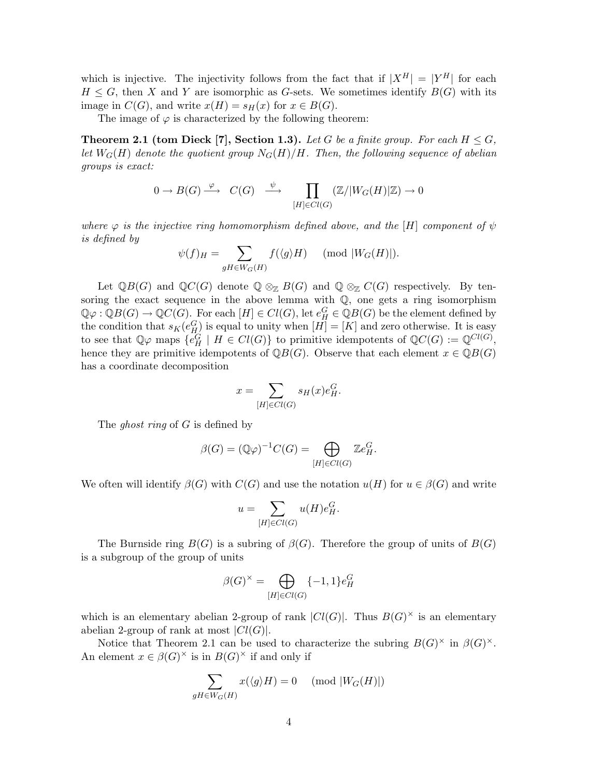which is injective. The injectivity follows from the fact that if  $|X^H| = |Y^H|$  for each  $H \leq G$ , then X and Y are isomorphic as G-sets. We sometimes identify  $B(G)$  with its image in  $C(G)$ , and write  $x(H) = s_H(x)$  for  $x \in B(G)$ .

The image of  $\varphi$  is characterized by the following theorem:

**Theorem 2.1 (tom Dieck [7], Section 1.3).** Let G be a finite group. For each  $H \leq G$ , let  $W_G(H)$  denote the quotient group  $N_G(H)/H$ . Then, the following sequence of abelian groups is exact:

$$
0 \to B(G) \xrightarrow{\varphi} C(G) \xrightarrow{\psi} \prod_{[H] \in Cl(G)} (\mathbb{Z}/|W_G(H)|\mathbb{Z}) \to 0
$$

where  $\varphi$  is the injective ring homomorphism defined above, and the [H] component of  $\psi$ is defined by  $\overline{\phantom{a}}$ 

$$
\psi(f)_H = \sum_{gH \in W_G(H)} f(\langle g \rangle H) \pmod{|W_G(H)|}.
$$

Let  $\mathbb{Q}B(G)$  and  $\mathbb{Q}C(G)$  denote  $\mathbb{Q}\otimes_{\mathbb{Z}} B(G)$  and  $\mathbb{Q}\otimes_{\mathbb{Z}} C(G)$  respectively. By tensoring the exact sequence in the above lemma with  $Q$ , one gets a ring isomorphism  $\mathbb{Q}\varphi:\mathbb{Q}B(G)\to \mathbb{Q}C(G)$ . For each  $[H]\in Cl(G)$ , let  $e_H^G\in \mathbb{Q}B(G)$  be the element defined by the condition that  $s_K(e_H^G)$  is equal to unity when  $[H] = [K]$  and zero otherwise. It is easy to see that  $\mathbb{Q}\varphi$  maps  $\{e_H^G \mid H \in Cl(G)\}\$ to primitive idempotents of  $\mathbb{Q}C(G) := \mathbb{Q}^{Cl(G)}$ , hence they are primitive idempotents of  $\mathbb{Q}B(G)$ . Observe that each element  $x \in \mathbb{Q}B(G)$ has a coordinate decomposition

$$
x = \sum_{[H] \in Cl(G)} s_H(x) e_H^G.
$$

The *ghost ring* of G is defined by

$$
\beta(G) = (\mathbb{Q}\varphi)^{-1}C(G) = \bigoplus_{[H]\in Cl(G)} \mathbb{Z}e_H^G.
$$

We often will identify  $\beta(G)$  with  $C(G)$  and use the notation  $u(H)$  for  $u \in \beta(G)$  and write

$$
u = \sum_{[H] \in Cl(G)} u(H)e_H^G.
$$

The Burnside ring  $B(G)$  is a subring of  $\beta(G)$ . Therefore the group of units of  $B(G)$ is a subgroup of the group of units

$$
\beta(G)^{\times} = \bigoplus_{[H] \in Cl(G)} \{-1, 1\} e_H^G
$$

which is an elementary abelian 2-group of rank  $|Cl(G)|$ . Thus  $B(G)^{\times}$  is an elementary abelian 2-group of rank at most  $|Cl(G)|$ .

Notice that Theorem 2.1 can be used to characterize the subring  $B(G)^{\times}$  in  $\beta(G)^{\times}$ . An element  $x \in \beta(G)^{\times}$  is in  $B(G)^{\times}$  if and only if

$$
\sum_{gH \in W_G(H)} x(\langle g \rangle H) = 0 \pmod{|W_G(H)|}
$$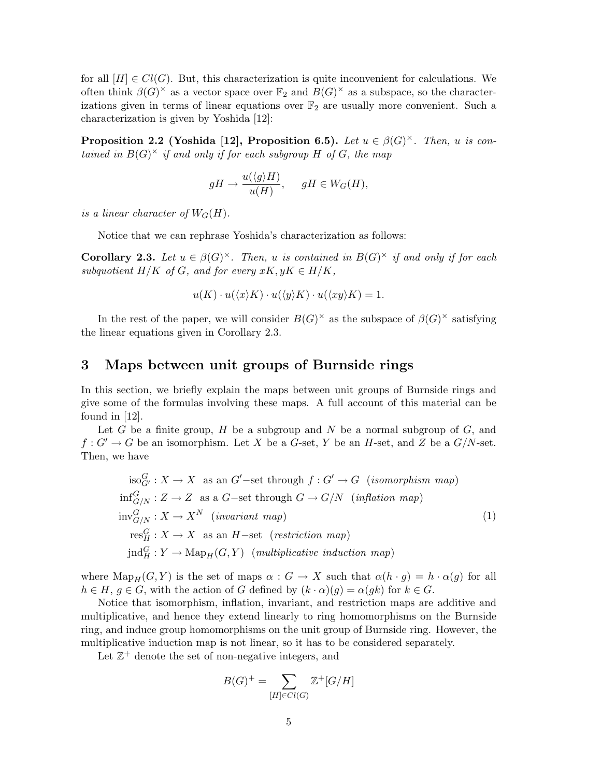for all  $[H] \in Cl(G)$ . But, this characterization is quite inconvenient for calculations. We often think  $\beta(G)^{\times}$  as a vector space over  $\mathbb{F}_2$  and  $B(G)^{\times}$  as a subspace, so the characterizations given in terms of linear equations over  $\mathbb{F}_2$  are usually more convenient. Such a characterization is given by Yoshida [12]:

**Proposition 2.2 (Yoshida [12], Proposition 6.5).** Let  $u \in \beta(G)^{\times}$ . Then, u is contained in  $B(G)^{\times}$  if and only if for each subgroup H of G, the map

$$
gH \to \frac{u(\langle g \rangle H)}{u(H)}, \quad gH \in W_G(H),
$$

is a linear character of  $W_G(H)$ .

Notice that we can rephrase Yoshida's characterization as follows:

**Corollary 2.3.** Let  $u \in \beta(G)^{\times}$ . Then, u is contained in  $B(G)^{\times}$  if and only if for each subquotient  $H/K$  of G, and for every  $xK, yK \in H/K$ ,

$$
u(K) \cdot u(\langle x \rangle K) \cdot u(\langle y \rangle K) \cdot u(\langle xy \rangle K) = 1.
$$

In the rest of the paper, we will consider  $B(G)^{\times}$  as the subspace of  $\beta(G)^{\times}$  satisfying the linear equations given in Corollary 2.3.

#### 3 Maps between unit groups of Burnside rings

In this section, we briefly explain the maps between unit groups of Burnside rings and give some of the formulas involving these maps. A full account of this material can be found in [12].

Let G be a finite group, H be a subgroup and N be a normal subgroup of  $G$ , and  $f: G' \to G$  be an isomorphism. Let X be a G-set, Y be an H-set, and Z be a  $G/N$ -set. Then, we have

$$
iso_{G'}^G: X \to X \text{ as an } G'-set through f: G' \to G \text{ (isomorphism map)}
$$
  
\n
$$
inf_{G/N}^G: Z \to Z \text{ as a } G-set through G \to G/N \text{ (inflation map)}
$$
  
\n
$$
inv_{G/N}^G: X \to X^N \text{ (invariant map)}
$$
  
\n
$$
res_H^G: X \to X \text{ as an } H-set \text{ (restriction map)}
$$
  
\n
$$
jnd_H^G: Y \to \text{Map}_H(G, Y) \text{ (multiplicative induction map)}
$$

where  $\text{Map}_H(G, Y)$  is the set of maps  $\alpha : G \to X$  such that  $\alpha(h \cdot g) = h \cdot \alpha(g)$  for all  $h \in H, g \in G$ , with the action of G defined by  $(k \cdot \alpha)(g) = \alpha(gk)$  for  $k \in G$ .

Notice that isomorphism, inflation, invariant, and restriction maps are additive and multiplicative, and hence they extend linearly to ring homomorphisms on the Burnside ring, and induce group homomorphisms on the unit group of Burnside ring. However, the multiplicative induction map is not linear, so it has to be considered separately.

Let  $\mathbb{Z}^+$  denote the set of non-negative integers, and

$$
B(G)^{+} = \sum_{[H] \in Cl(G)} \mathbb{Z}^{+}[G/H]
$$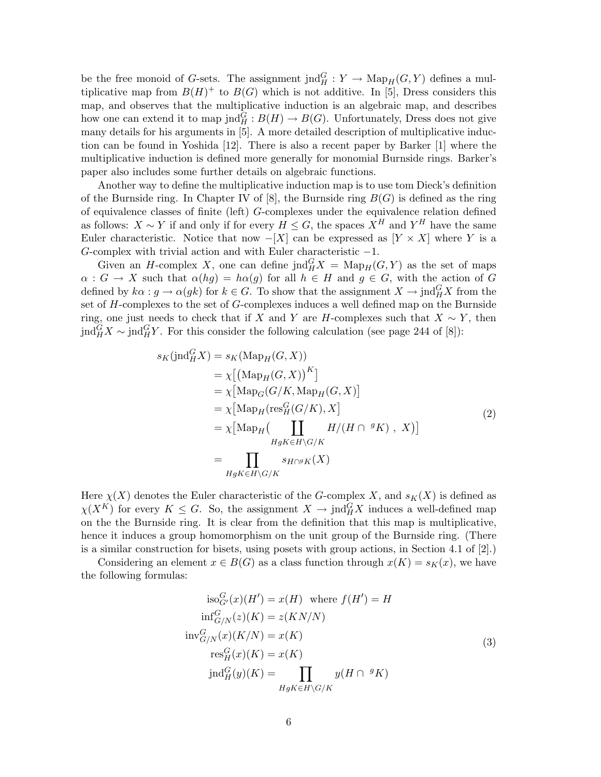be the free monoid of G-sets. The assignment  $\text{ind}_{H}^{G}: Y \to \text{Map}_{H}(G, Y)$  defines a multiplicative map from  $B(H)^+$  to  $B(G)$  which is not additive. In [5], Dress considers this map, and observes that the multiplicative induction is an algebraic map, and describes how one can extend it to map  $\text{ind}_{H}^{G}: B(H) \to B(G)$ . Unfortunately, Dress does not give many details for his arguments in [5]. A more detailed description of multiplicative induction can be found in Yoshida [12]. There is also a recent paper by Barker [1] where the multiplicative induction is defined more generally for monomial Burnside rings. Barker's paper also includes some further details on algebraic functions.

Another way to define the multiplicative induction map is to use tom Dieck's definition of the Burnside ring. In Chapter IV of  $[8]$ , the Burnside ring  $B(G)$  is defined as the ring of equivalence classes of finite (left) G-complexes under the equivalence relation defined as follows:  $X \sim Y$  if and only if for every  $H \leq G$ , the spaces  $X^H$  and  $Y^H$  have the same Euler characteristic. Notice that now  $-[X]$  can be expressed as  $[Y \times X]$  where Y is a G-complex with trivial action and with Euler characteristic −1.

Given an H-complex X, one can define  $\text{ind}_{H}^{G} X = \text{Map}_{H}(G, Y)$  as the set of maps  $\alpha: G \to X$  such that  $\alpha(hg) = h\alpha(g)$  for all  $h \in H$  and  $g \in G$ , with the action of G defined by  $k\alpha : g \to \alpha(gk)$  for  $k \in G$ . To show that the assignment  $X \to \text{ind}_{H}^{G} X$  from the set of H-complexes to the set of G-complexes induces a well defined map on the Burnside ring, one just needs to check that if X and Y are H-complexes such that  $X \sim Y$ , then jnd $_G^G X \sim \text{ind}_H^G Y$ . For this consider the following calculation (see page 244 of [8]):

$$
s_K(\text{ind}_H^G X) = s_K(\text{Map}_H(G, X))
$$
  
\n
$$
= \chi[(\text{Map}_H(G, X))^K]
$$
  
\n
$$
= \chi[\text{Map}_G(G/K, \text{Map}_H(G, X)]
$$
  
\n
$$
= \chi[\text{Map}_H(\text{res}_H^G(G/K), X]
$$
  
\n
$$
= \chi[\text{Map}_H(\coprod_{HgK \in H \backslash G/K} H/(H \cap {}^g K), X)]
$$
  
\n
$$
= \prod_{HgK \in H \backslash G/K} s_{H \cap {}^g K}(X)
$$
  
\n(2)

Here  $\chi(X)$  denotes the Euler characteristic of the G-complex X, and  $s_K(X)$  is defined as  $\chi(X^K)$  for every  $K \leq G$ . So, the assignment  $X \to \text{ind}_{H}^{G} X$  induces a well-defined map on the the Burnside ring. It is clear from the definition that this map is multiplicative, hence it induces a group homomorphism on the unit group of the Burnside ring. (There is a similar construction for bisets, using posets with group actions, in Section 4.1 of [2].)

Considering an element  $x \in B(G)$  as a class function through  $x(K) = s_K(x)$ , we have the following formulas:

$$
\text{iso}_{G'}^{G}(x)(H') = x(H) \text{ where } f(H') = H
$$
  
\n
$$
\text{inf}_{G/N}^{G}(z)(K) = z(K)/N
$$
  
\n
$$
\text{inv}_{G/N}^{G}(x)(K/N) = x(K)
$$
  
\n
$$
\text{res}_{H}^{G}(x)(K) = x(K)
$$
  
\n
$$
\text{ind}_{H}^{G}(y)(K) = \prod_{HgK \in H\backslash G/K} y(H \cap {}^{g}K)
$$
\n(3)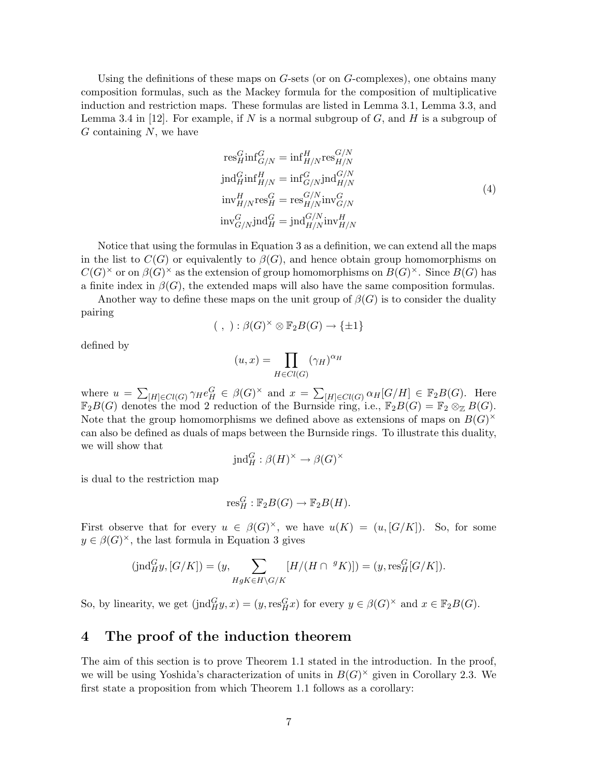Using the definitions of these maps on  $G$ -sets (or on  $G$ -complexes), one obtains many composition formulas, such as the Mackey formula for the composition of multiplicative induction and restriction maps. These formulas are listed in Lemma 3.1, Lemma 3.3, and Lemma 3.4 in [12]. For example, if N is a normal subgroup of  $G$ , and  $H$  is a subgroup of  $G$  containing  $N$ , we have

$$
res_H^G \text{inf}_{G/N}^G = \text{inf}_{H/N}^H \text{res}_{H/N}^{G/N}
$$
  
\n
$$
\text{ind}_H^G \text{inf}_{H/N}^H = \text{inf}_{G/N}^G \text{ind}_{H/N}^{G/N}
$$
  
\n
$$
\text{inv}_{H/N}^H \text{res}_H^G = \text{res}_{H/N}^{G/N} \text{inv}_{G/N}^G
$$
  
\n
$$
\text{inv}_{G/N}^G \text{ind}_H^G = \text{ind}_{H/N}^{G/N} \text{inv}_{H/N}^H
$$
  
\n(4)

G/N

Notice that using the formulas in Equation 3 as a definition, we can extend all the maps in the list to  $C(G)$  or equivalently to  $\beta(G)$ , and hence obtain group homomorphisms on  $C(G)^{\times}$  or on  $\beta(G)^{\times}$  as the extension of group homomorphisms on  $B(G)^{\times}$ . Since  $B(G)$  has a finite index in  $\beta(G)$ , the extended maps will also have the same composition formulas.

Another way to define these maps on the unit group of  $\beta(G)$  is to consider the duality pairing

$$
(\ ,\ ):\beta(G)^{\times}\otimes\mathbb{F}_2B(G)\to\{\pm 1\}
$$

defined by

$$
(u,x) = \prod_{H \in Cl(G)} (\gamma_H)^{\alpha_H}
$$

where  $u =$  $\overline{ }$  $[H] \in Cl(G)$   $\gamma_H e_H^G \in \beta(G)^\times$  and  $x = \sum$  $_{[H]\in Cl(G)} \alpha_H[G/H] \in \mathbb{F}_2B(G)$ . Here  $\mathbb{F}_2B(G)$  denotes the mod 2 reduction of the Burnside ring, i.e.,  $\mathbb{F}_2B(G) = \mathbb{F}_2 \otimes_{\mathbb{Z}} B(G)$ . Note that the group homomorphisms we defined above as extensions of maps on  $B(G)^{\times}$ can also be defined as duals of maps between the Burnside rings. To illustrate this duality, we will show that

$$
\mathrm{ind}_H^G: \beta(H)^\times \to \beta(G)^\times
$$

is dual to the restriction map

$$
\mathrm{res}^G_H : \mathbb{F}_2B(G) \to \mathbb{F}_2B(H).
$$

First observe that for every  $u \in \beta(G)^{\times}$ , we have  $u(K) = (u, [G/K])$ . So, for some  $y \in \beta(G)^{\times}$ , the last formula in Equation 3 gives

$$
(\text{ind}_{H}^{G}y, [G/K]) = (y, \sum_{HgK \in H \backslash G/K} [H/(H \cap {}^{g}K)]) = (y, \text{res}_{H}^{G}[G/K]).
$$

So, by linearity, we get  $(\text{ind}_{H}^{G}y, x) = (y, \text{res}_{H}^{G}x)$  for every  $y \in \beta(G)^{\times}$  and  $x \in \mathbb{F}_2B(G)$ .

### 4 The proof of the induction theorem

The aim of this section is to prove Theorem 1.1 stated in the introduction. In the proof, we will be using Yoshida's characterization of units in  $B(G)^\times$  given in Corollary 2.3. We first state a proposition from which Theorem 1.1 follows as a corollary: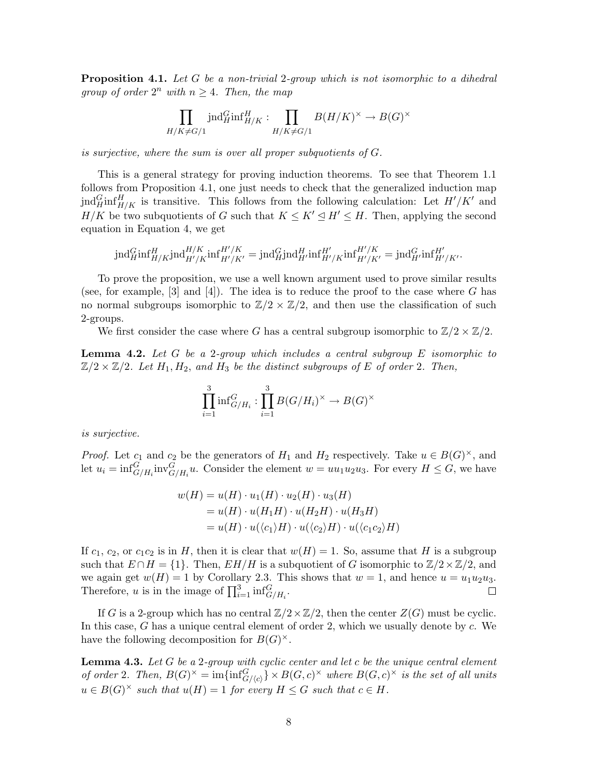**Proposition 4.1.** Let G be a non-trivial 2-group which is not isomorphic to a dihedral group of order  $2^n$  with  $n \geq 4$ . Then, the map

$$
\prod_{H/K \neq G/1} \text{ind}_{H}^{G} \text{inf}_{H/K}^{H} : \prod_{H/K \neq G/1} B(H/K)^{\times} \to B(G)^{\times}
$$

is surjective, where the sum is over all proper subquotients of G.

This is a general strategy for proving induction theorems. To see that Theorem 1.1 follows from Proposition 4.1, one just needs to check that the generalized induction map jnd $_{H/K}^G$ inf $_{H/K}^H$  is transitive. This follows from the following calculation: Let  $H'/K'$  and  $H/K$  be two subquotients of G such that  $K \leq K' \leq H' \leq H$ . Then, applying the second equation in Equation 4, we get

$$
\mathrm{ind}_{H}^{G}\mathrm{inf}_{H/K}^{H}\mathrm{ind}_{H'/K}^{H/K}\mathrm{inf}_{H'/K'}^{H'/K}=\mathrm{ind}_{H}^{G}\mathrm{ind}_{H'}^{H}\mathrm{inf}_{H'/K}^{H'/K}\mathrm{inf}_{H'/K'}^{H'/K}=\mathrm{ind}_{H'}^{G}\mathrm{inf}_{H'/K'}^{H'}.
$$

To prove the proposition, we use a well known argument used to prove similar results (see, for example,  $[3]$  and  $[4]$ ). The idea is to reduce the proof to the case where G has no normal subgroups isomorphic to  $\mathbb{Z}/2 \times \mathbb{Z}/2$ , and then use the classification of such 2-groups.

We first consider the case where G has a central subgroup isomorphic to  $\mathbb{Z}/2 \times \mathbb{Z}/2$ .

**Lemma 4.2.** Let G be a 2-group which includes a central subgroup  $E$  isomorphic to  $\mathbb{Z}/2 \times \mathbb{Z}/2$ . Let  $H_1, H_2,$  and  $H_3$  be the distinct subgroups of E of order 2. Then,

$$
\prod_{i=1}^{3} \inf_{G/H_i}^{G} : \prod_{i=1}^{3} B(G/H_i)^{\times} \to B(G)^{\times}
$$

is surjective.

*Proof.* Let  $c_1$  and  $c_2$  be the generators of  $H_1$  and  $H_2$  respectively. Take  $u \in B(G)^{\times}$ , and let  $u_i = \inf_{G/H_i}^G \text{inv}_{G/H_i}^G u$ . Consider the element  $w = uu_1u_2u_3$ . For every  $H \leq G$ , we have

$$
w(H) = u(H) \cdot u_1(H) \cdot u_2(H) \cdot u_3(H)
$$
  
=  $u(H) \cdot u(H_1H) \cdot u(H_2H) \cdot u(H_3H)$   
=  $u(H) \cdot u(\langle c_1 \rangle H) \cdot u(\langle c_2 \rangle H) \cdot u(\langle c_1 c_2 \rangle H)$ 

If  $c_1$ ,  $c_2$ , or  $c_1c_2$  is in H, then it is clear that  $w(H) = 1$ . So, assume that H is a subgroup such that  $E \cap H = \{1\}$ . Then,  $E H/H$  is a subquotient of G isomorphic to  $\mathbb{Z}/2 \times \mathbb{Z}/2$ , and we again get  $w(H) = 1$  by Corollary 2.3. This shows that  $w = 1$ , and hence  $u = u_1u_2u_3$ . we again get  $w(n) = 1$  by Coronary 2.3. Therefore, u is in the image of  $\prod_{i=1}^{3} \inf_{G/H_i}^G$ .  $\Box$ 

If G is a 2-group which has no central  $\mathbb{Z}/2\times\mathbb{Z}/2$ , then the center  $Z(G)$  must be cyclic. In this case, G has a unique central element of order 2, which we usually denote by  $c$ . We have the following decomposition for  $B(G)^{\times}$ .

**Lemma 4.3.** Let  $G$  be a 2-group with cyclic center and let  $c$  be the unique central element of order 2. Then,  $B(G)^{\times} = \text{im}\{\text{inf}_{G/\langle c\rangle}^G\} \times B(G, c)^{\times}$  where  $B(G, c)^{\times}$  is the set of all units  $u \in B(G)^{\times}$  such that  $u(H) = 1$  for every  $H \leq G$  such that  $c \in H$ .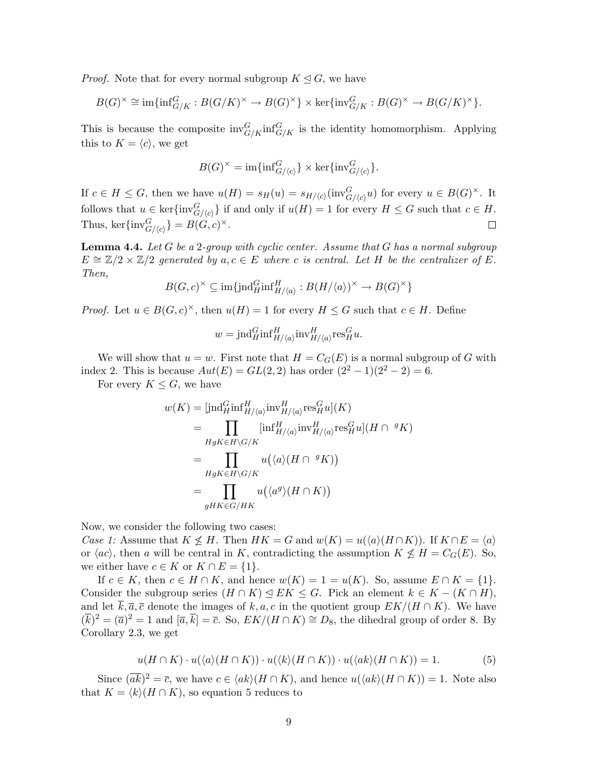*Proof.* Note that for every normal subgroup  $K \leq G$ , we have

$$
B(G)^{\times} \cong \mathrm{im}\{\mathrm{inf}_{G/K}^G : B(G/K)^{\times} \to B(G)^{\times}\} \times \mathrm{ker}\{\mathrm{inv}_{G/K}^G : B(G)^{\times} \to B(G/K)^{\times}\}.
$$

This is because the composite  $\text{inv}_{G/K}^G \text{inf}_{G/K}^G$  is the identity homomorphism. Applying this to  $K = \langle c \rangle$ , we get

$$
B(G)^{\times} = \text{im}\{\text{inf}_{G/\langle c \rangle}^{G}\} \times \text{ker}\{\text{inv}_{G/\langle c \rangle}^{G}\}.
$$

If  $c \in H \leq G$ , then we have  $u(H) = s_H(u) = s_{H/\langle c \rangle}(\text{inv}_{G/\langle c \rangle}^G u)$  for every  $u \in B(G)^{\times}$ . It follows that  $u \in \text{ker}\{\text{inv}_{G/\langle c\rangle}^G\}$  if and only if  $u(H) = 1$  for every  $H \leq G$  such that  $c \in H$ . Thus, ker $\{\text{inv}_{G/\langle c\rangle}^G\} = B(G, c)^\times$ .  $\Box$ 

**Lemma 4.4.** Let  $G$  be a 2-group with cyclic center. Assume that  $G$  has a normal subgroup  $E \cong \mathbb{Z}/2 \times \mathbb{Z}/2$  generated by  $a, c \in E$  where c is central. Let H be the centralizer of E. Then,

$$
B(G,c)^{\times} \subseteq \text{im}\{\text{ind}_{H}^{G} \text{inf}_{H/\langle a \rangle}^{H} : B(H/\langle a \rangle)^{\times} \to B(G)^{\times}\}
$$

*Proof.* Let  $u \in B(G, c)^{\times}$ , then  $u(H) = 1$  for every  $H \leq G$  such that  $c \in H$ . Define

$$
w = \text{ind}_{H}^{G} \text{inf}_{H/\langle a \rangle}^{H} \text{inv}_{H/\langle a \rangle}^{H} \text{res}_{H}^{G} u.
$$

We will show that  $u = w$ . First note that  $H = C<sub>G</sub>(E)$  is a normal subgroup of G with index 2. This is because  $Aut(E) = GL(2, 2)$  has order  $(2^2 - 1)(2^2 - 2) = 6$ .

For every  $K \leq G$ , we have

$$
w(K) = \left[\text{ind}_{H}^{G} \text{inf}_{H/\langle a \rangle}^{H} \text{inv}_{H/\langle a \rangle}^{H} \text{res}_{H}^{G} u\right](K)
$$
  
\n
$$
= \prod_{HgK \in H\backslash G/K} \left[\text{inf}_{H/\langle a \rangle}^{H} \text{inv}_{H/\langle a \rangle}^{H} \text{res}_{H}^{G} u\right](H \cap {}^{g} K)
$$
  
\n
$$
= \prod_{HgK \in H\backslash G/K} u(\langle a \rangle (H \cap {}^{g} K))
$$
  
\n
$$
= \prod_{gHK \in G/HK} u(\langle a^{g} \rangle (H \cap K))
$$

Now, we consider the following two cases:

Case 1: Assume that  $K \nleq H$ . Then  $HK = G$  and  $w(K) = u(\langle a \rangle(H \cap K))$ . If  $K \cap E = \langle a \rangle$ or  $\langle ac \rangle$ , then a will be central in K, contradicting the assumption  $K \nleq H = C_G(E)$ . So, we either have  $c \in K$  or  $K \cap E = \{1\}.$ 

If  $c \in K$ , then  $c \in H \cap K$ , and hence  $w(K) = 1 = u(K)$ . So, assume  $E \cap K = \{1\}$ . Consider the subgroup series  $(H \cap K) \leq E K \leq G$ . Pick an element  $k \in K - (K \cap H)$ , and let  $\overline{k}, \overline{a}, \overline{c}$  denote the images of k, a, c in the quotient group  $EK/(H \cap K)$ . We have  $(\overline{k})^2 = (\overline{a})^2 = 1$  and  $[\overline{a}, \overline{k}] = \overline{c}$ . So,  $EK/(H \cap K) \cong D_8$ , the dihedral group of order 8. By Corollary 2.3, we get

$$
u(H \cap K) \cdot u(\langle a \rangle(H \cap K)) \cdot u(\langle k \rangle(H \cap K)) \cdot u(\langle ak \rangle(H \cap K)) = 1.
$$
 (5)

Since  $(\overline{ak})^2 = \overline{c}$ , we have  $c \in \langle ak \rangle(H \cap K)$ , and hence  $u(\langle ak \rangle(H \cap K)) = 1$ . Note also that  $K = \langle k \rangle(H \cap K)$ , so equation 5 reduces to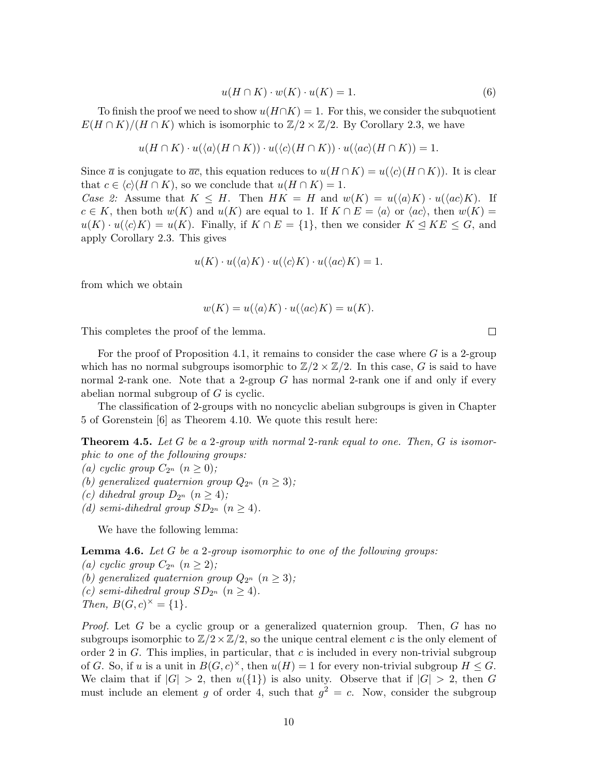$$
u(H \cap K) \cdot w(K) \cdot u(K) = 1.
$$
\n<sup>(6)</sup>

To finish the proof we need to show  $u(H\cap K) = 1$ . For this, we consider the subquotient  $E(H \cap K)/(H \cap K)$  which is isomorphic to  $\mathbb{Z}/2 \times \mathbb{Z}/2$ . By Corollary 2.3, we have

$$
u(H \cap K) \cdot u(\langle a \rangle(H \cap K)) \cdot u(\langle c \rangle(H \cap K)) \cdot u(\langle ac \rangle(H \cap K)) = 1.
$$

Since  $\bar{a}$  is conjugate to  $\bar{a}\bar{c}$ , this equation reduces to  $u(H \cap K) = u(\langle c \rangle(H \cap K))$ . It is clear that  $c \in \langle c \rangle(H \cap K)$ , so we conclude that  $u(H \cap K) = 1$ .

Case 2: Assume that  $K \leq H$ . Then  $HK = H$  and  $w(K) = u(\langle a \rangle K) \cdot u(\langle ac \rangle K)$ . If  $c \in K$ , then both  $w(K)$  and  $u(K)$  are equal to 1. If  $K \cap E = \langle a \rangle$  or  $\langle ac \rangle$ , then  $w(K) =$  $u(K) \cdot u(\langle c \rangle K) = u(K)$ . Finally, if  $K \cap E = \{1\}$ , then we consider  $K \leq K \leq G$ , and apply Corollary 2.3. This gives

$$
u(K) \cdot u(\langle a \rangle K) \cdot u(\langle c \rangle K) \cdot u(\langle ac \rangle K) = 1.
$$

from which we obtain

$$
w(K) = u(\langle a \rangle K) \cdot u(\langle ac \rangle K) = u(K).
$$

This completes the proof of the lemma.

For the proof of Proposition 4.1, it remains to consider the case where  $G$  is a 2-group which has no normal subgroups isomorphic to  $\mathbb{Z}/2 \times \mathbb{Z}/2$ . In this case, G is said to have normal 2-rank one. Note that a 2-group  $G$  has normal 2-rank one if and only if every abelian normal subgroup of G is cyclic.

The classification of 2-groups with no noncyclic abelian subgroups is given in Chapter 5 of Gorenstein [6] as Theorem 4.10. We quote this result here:

**Theorem 4.5.** Let G be a 2-group with normal 2-rank equal to one. Then, G is isomorphic to one of the following groups:

(a) cyclic group  $C_{2^n}$   $(n \geq 0)$ ;

- (b) generalized quaternion group  $Q_{2^n}$   $(n \geq 3)$ ;
- (c) dihedral group  $D_{2^n}$   $(n \geq 4)$ ;
- (d) semi-dihedral group  $SD_{2^n}$   $(n \geq 4)$ .

We have the following lemma:

Lemma 4.6. Let G be a 2-group isomorphic to one of the following groups:

- (a) cyclic group  $C_{2^n}$   $(n \geq 2)$ ;
- (b) generalized quaternion group  $Q_{2^n}$   $(n \geq 3)$ ;
- (c) semi-dihedral group  $SD_{2^n}$   $(n \geq 4)$ .

Then,  $B(G, c)^{\times} = \{1\}.$ 

*Proof.* Let G be a cyclic group or a generalized quaternion group. Then, G has no subgroups isomorphic to  $\mathbb{Z}/2 \times \mathbb{Z}/2$ , so the unique central element c is the only element of order 2 in  $G$ . This implies, in particular, that  $c$  is included in every non-trivial subgroup of G. So, if u is a unit in  $B(G, c)^{\times}$ , then  $u(H) = 1$  for every non-trivial subgroup  $H \leq G$ . We claim that if  $|G| > 2$ , then  $u({1})$  is also unity. Observe that if  $|G| > 2$ , then G must include an element g of order 4, such that  $g^2 = c$ . Now, consider the subgroup

 $\Box$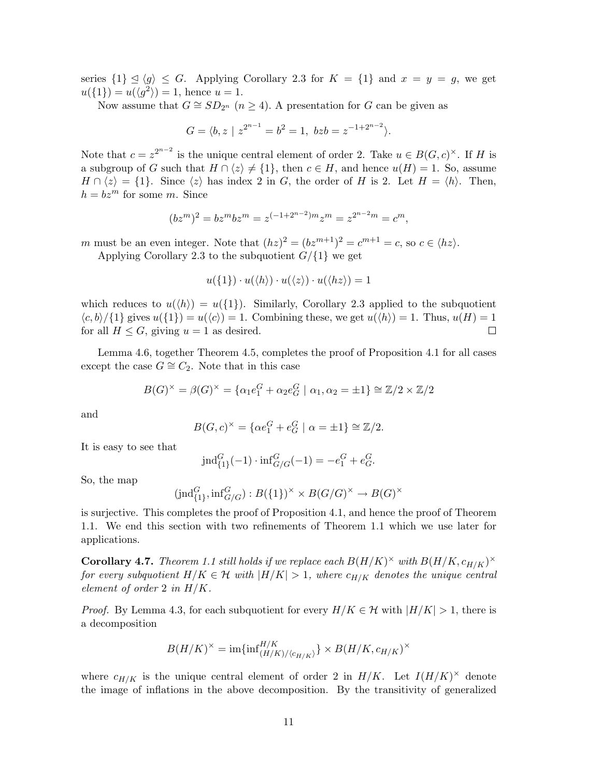series  $\{1\} \le \langle g \rangle \le G$ . Applying Corollary 2.3 for  $K = \{1\}$  and  $x = y = g$ , we get  $u({1}) = u({\langle} g^2{\rangle}) = 1$ , hence  $u = 1$ .

Now assume that  $G \cong SD_{2^n}$   $(n \geq 4)$ . A presentation for G can be given as

$$
G = \langle b, z \mid z^{2^{n-1}} = b^2 = 1, \ bzb = z^{-1+2^{n-2}} \rangle.
$$

Note that  $c = z^{2^{n-2}}$  is the unique central element of order 2. Take  $u \in B(G, c)^{\times}$ . If H is a subgroup of G such that  $H \cap \langle z \rangle \neq \{1\}$ , then  $c \in H$ , and hence  $u(H) = 1$ . So, assume  $H \cap \langle z \rangle = \{1\}.$  Since  $\langle z \rangle$  has index 2 in G, the order of H is 2. Let  $H = \langle h \rangle$ . Then,  $h = bz^m$  for some m. Since

$$
(bz^m)^2 = bz^m b z^m = z^{(-1+2^{n-2})m} z^m = z^{2^{n-2}m} = c^m,
$$

m must be an even integer. Note that  $(hz)^2 = (bz^{m+1})^2 = c^{m+1} = c$ , so  $c \in \langle hz \rangle$ . Applying Corollary 2.3 to the subquotient  $G/\{1\}$  we get

$$
u(\{1\}) \cdot u(\langle h \rangle) \cdot u(\langle z \rangle) \cdot u(\langle hz \rangle) = 1
$$

which reduces to  $u(\langle h \rangle) = u(\lbrace 1 \rbrace)$ . Similarly, Corollary 2.3 applied to the subquotient  $\langle c, b \rangle / \{1\}$  gives  $u(\{1\}) = u(\langle c \rangle) = 1$ . Combining these, we get  $u(\langle h \rangle) = 1$ . Thus,  $u(H) = 1$ for all  $H \leq G$ , giving  $u = 1$  as desired.  $\Box$ 

Lemma 4.6, together Theorem 4.5, completes the proof of Proposition 4.1 for all cases except the case  $G \cong C_2$ . Note that in this case

$$
B(G)^{\times} = \beta(G)^{\times} = \{ \alpha_1 e_1^G + \alpha_2 e_G^G \mid \alpha_1, \alpha_2 = \pm 1 \} \cong \mathbb{Z}/2 \times \mathbb{Z}/2
$$

and

$$
B(G,c)^{\times} = \{ \alpha e_1^G + e_G^G \mid \alpha = \pm 1 \} \cong \mathbb{Z}/2.
$$

It is easy to see that

$$
\text{ind}_{\{1\}}^G(-1) \cdot \text{inf}_{G/G}^G(-1) = -e_1^G + e_G^G.
$$

So, the map

$$
(\text{ind}_{\{1\}}^G, \text{inf}_{G/G}^G) : B(\{1\})^\times \times B(G/G)^\times \to B(G)^\times
$$

is surjective. This completes the proof of Proposition 4.1, and hence the proof of Theorem 1.1. We end this section with two refinements of Theorem 1.1 which we use later for applications.

**Corollary 4.7.** Theorem 1.1 still holds if we replace each  $B(H/K)^{\times}$  with  $B(H/K, c_{H/K})^{\times}$ for every subquotient  $H/K \in \mathcal{H}$  with  $|H/K| > 1$ , where  $c_{H/K}$  denotes the unique central element of order 2 in  $H/K$ .

*Proof.* By Lemma 4.3, for each subquotient for every  $H/K \in \mathcal{H}$  with  $|H/K| > 1$ , there is a decomposition

$$
B(H/K)^{\times} = \text{im}\{\text{inf}_{(H/K)/\langle c_{H/K}\rangle}^{H/K}\} \times B(H/K, c_{H/K})^{\times}
$$

where  $c_{H/K}$  is the unique central element of order 2 in  $H/K$ . Let  $I(H/K)^{\times}$  denote the image of inflations in the above decomposition. By the transitivity of generalized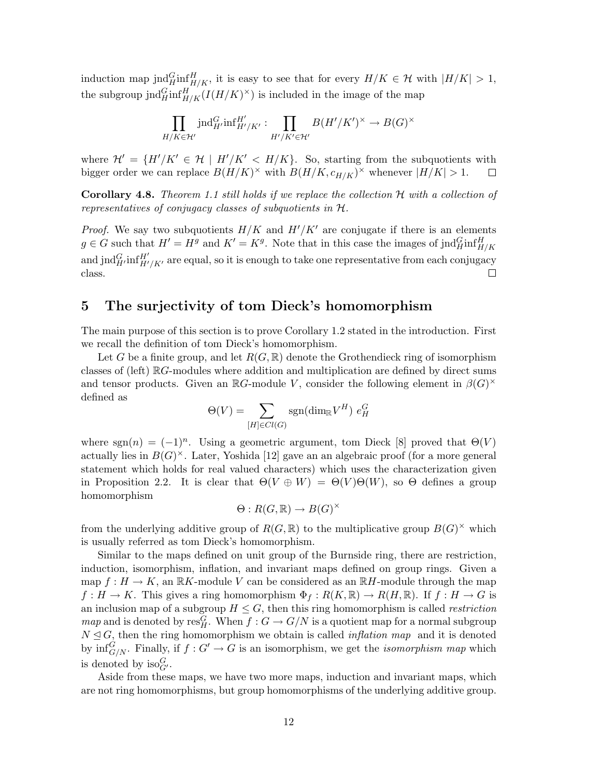induction map jnd $_{H/\overline{K}}^G$  it is easy to see that for every  $H/K \in \mathcal{H}$  with  $|H/K| > 1$ , the subgroup jnd $_{H/H}^G$  ( $H/H/K$ )<sup> $\times$ </sup>) is included in the image of the map

$$
\prod_{H/K \in \mathcal{H}'} \text{ind}_{H'}^G \text{inf}_{H'/K'}^{H'} : \prod_{H'/K' \in \mathcal{H}'} B(H'/K')^{\times} \to B(G)^{\times}
$$

where  $\mathcal{H}' = \{H'/K' \in \mathcal{H} \mid H'/K' < H/K\}$ . So, starting from the subquotients with bigger order we can replace  $B(H/K)^{\times}$  with  $B(H/K, c_{H/K})^{\times}$  whenever  $|H/K| > 1$ .  $\Box$ 

**Corollary 4.8.** Theorem 1.1 still holds if we replace the collection  $H$  with a collection of representatives of conjugacy classes of subquotients in H.

*Proof.* We say two subquotients  $H/K$  and  $H'/K'$  are conjugate if there is an elements  $g \in G$  such that  $H' = H^g$  and  $K' = K^g$ . Note that in this case the images of jnd $_{H/K}^{G}$ and jnd $_{H'}^G$ inf $_{H'/K'}^H$  are equal, so it is enough to take one representative from each conjugacy class.  $\Box$ 

## 5 The surjectivity of tom Dieck's homomorphism

The main purpose of this section is to prove Corollary 1.2 stated in the introduction. First we recall the definition of tom Dieck's homomorphism.

Let G be a finite group, and let  $R(G,\mathbb{R})$  denote the Grothendieck ring of isomorphism classes of (left) RG-modules where addition and multiplication are defined by direct sums and tensor products. Given an  $\mathbb{R}G$ -module V, consider the following element in  $\beta(G)^{\times}$ defined as

$$
\Theta(V) = \sum_{[H] \in Cl(G)} \text{sgn}(\text{dim}_{\mathbb{R}} V^H) e_H^G
$$

where sgn(n) =  $(-1)^n$ . Using a geometric argument, tom Dieck [8] proved that  $\Theta(V)$ actually lies in  $B(G)^{\times}$ . Later, Yoshida [12] gave an an algebraic proof (for a more general statement which holds for real valued characters) which uses the characterization given in Proposition 2.2. It is clear that  $\Theta(V \oplus W) = \Theta(V) \Theta(W)$ , so  $\Theta$  defines a group homomorphism

$$
\Theta: R(G, \mathbb{R}) \to B(G)^{\times}
$$

from the underlying additive group of  $R(G, \mathbb{R})$  to the multiplicative group  $B(G)^{\times}$  which is usually referred as tom Dieck's homomorphism.

Similar to the maps defined on unit group of the Burnside ring, there are restriction, induction, isomorphism, inflation, and invariant maps defined on group rings. Given a map  $f : H \to K$ , an  $\mathbb{R}K$ -module V can be considered as an  $\mathbb{R}H$ -module through the map  $f: H \to K$ . This gives a ring homomorphism  $\Phi_f: R(K, \mathbb{R}) \to R(H, \mathbb{R})$ . If  $f: H \to G$  is an inclusion map of a subgroup  $H \leq G$ , then this ring homomorphism is called *restriction map* and is denoted by  $\text{res}_{H}^{G}$ . When  $f: G \to G/N$  is a quotient map for a normal subgroup  $N \leq G$ , then the ring homomorphism we obtain is called *inflation map* and it is denoted by  $\inf_{G/N}^G$ . Finally, if  $f: G' \to G$  is an isomorphism, we get the *isomorphism map* which is denoted by  $\text{iso}_{G'}^G$ .

Aside from these maps, we have two more maps, induction and invariant maps, which are not ring homomorphisms, but group homomorphisms of the underlying additive group.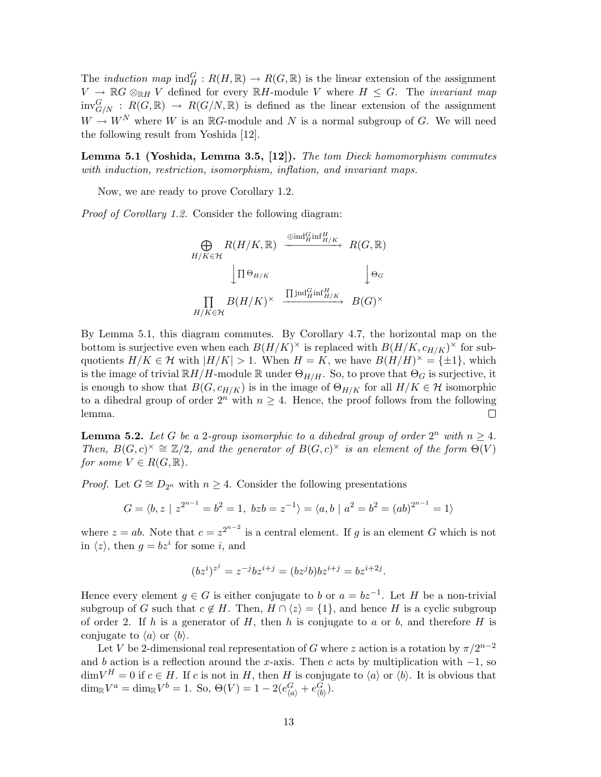The *induction map*  $\text{ind}_{H}^{G}: R(H,\mathbb{R}) \to R(G,\mathbb{R})$  is the linear extension of the assignment  $V \to \mathbb{R}G \otimes_{\mathbb{R}H} V$  defined for every  $\mathbb{R}H$ -module V where  $H \leq G$ . The *invariant map*  $inv_{G/N}^G$ :  $R(G,\mathbb{R}) \rightarrow R(G/N,\mathbb{R})$  is defined as the linear extension of the assignment  $W \to W^N$  where W is an RG-module and N is a normal subgroup of G. We will need the following result from Yoshida [12].

Lemma 5.1 (Yoshida, Lemma 3.5, [12]). The tom Dieck homomorphism commutes with induction, restriction, isomorphism, inflation, and invariant maps.

Now, we are ready to prove Corollary 1.2.

Proof of Corollary 1.2. Consider the following diagram:

$$
\bigoplus_{H/K \in \mathcal{H}} R(H/K, \mathbb{R}) \xrightarrow{\oplus \text{ind}_{H}^G \text{inf}_{H/K}} R(G, \mathbb{R})
$$
  

$$
\downarrow \Pi \oplus_{H/K} \qquad \qquad \downarrow \Theta_G
$$
  

$$
\prod_{H/K \in \mathcal{H}} B(H/K)^{\times} \xrightarrow{\prod \text{ind}_{H}^G \text{inf}_{H/K}^H} B(G)^{\times}
$$

By Lemma 5.1, this diagram commutes. By Corollary 4.7, the horizontal map on the bottom is surjective even when each  $B(H/K)^{\times}$  is replaced with  $B(H/K, c_{H/K})^{\times}$  for subquotients  $H/K \in \mathcal{H}$  with  $|H/K| > 1$ . When  $H = K$ , we have  $B(H/H)^{\times} = \{\pm 1\}$ , which is the image of trivial  $\mathbb{R}H/H$ -module  $\mathbb R$  under  $\Theta_{H/H}$ . So, to prove that  $\Theta_G$  is surjective, it is enough to show that  $B(G, c_{H/K})$  is in the image of  $\Theta_{H/K}$  for all  $H/K \in \mathcal{H}$  isomorphic to a dihedral group of order  $2^n$  with  $n \geq 4$ . Hence, the proof follows from the following lemma.  $\Box$ 

**Lemma 5.2.** Let G be a 2-group isomorphic to a dihedral group of order  $2^n$  with  $n \geq 4$ . Then,  $B(G, c)^{\times} \cong \mathbb{Z}/2$ , and the generator of  $B(G, c)^{\times}$  is an element of the form  $\Theta(V)$ for some  $V \in R(G, \mathbb{R})$ .

*Proof.* Let  $G \cong D_{2^n}$  with  $n \geq 4$ . Consider the following presentations

$$
G = \langle b, z \mid z^{2^{n-1}} = b^2 = 1, \ bzb = z^{-1} \rangle = \langle a, b \mid a^2 = b^2 = (ab)^{2^{n-1}} = 1 \rangle
$$

where  $z = ab$ . Note that  $c = z^{2^{n-2}}$  is a central element. If g is an element G which is not in  $\langle z \rangle$ , then  $g = bz^i$  for some i, and

$$
(bz^i)^{z^j} = z^{-j}bz^{i+j} = (bz^j b)bz^{i+j} = bz^{i+2j}.
$$

Hence every element  $g \in G$  is either conjugate to b or  $a = bz^{-1}$ . Let H be a non-trivial subgroup of G such that  $c \notin H$ . Then,  $H \cap \langle z \rangle = \{1\}$ , and hence H is a cyclic subgroup of order 2. If h is a generator of H, then h is conjugate to a or b, and therefore H is conjugate to  $\langle a \rangle$  or  $\langle b \rangle$ .

Let V be 2-dimensional real representation of G where z action is a rotation by  $\pi/2^{n-2}$ and b action is a reflection around the x-axis. Then c acts by multiplication with  $-1$ , so  $\dim V^H = 0$  if  $c \in H$ . If c is not in H, then H is conjugate to  $\langle a \rangle$  or  $\langle b \rangle$ . It is obvious that  $\dim_{\mathbb{R}} V^a = \dim_{\mathbb{R}} V^b = 1.$  So,  $\Theta(V) = 1 - 2(e_{\langle a \rangle}^G + e_{\langle b \rangle}^G)$ .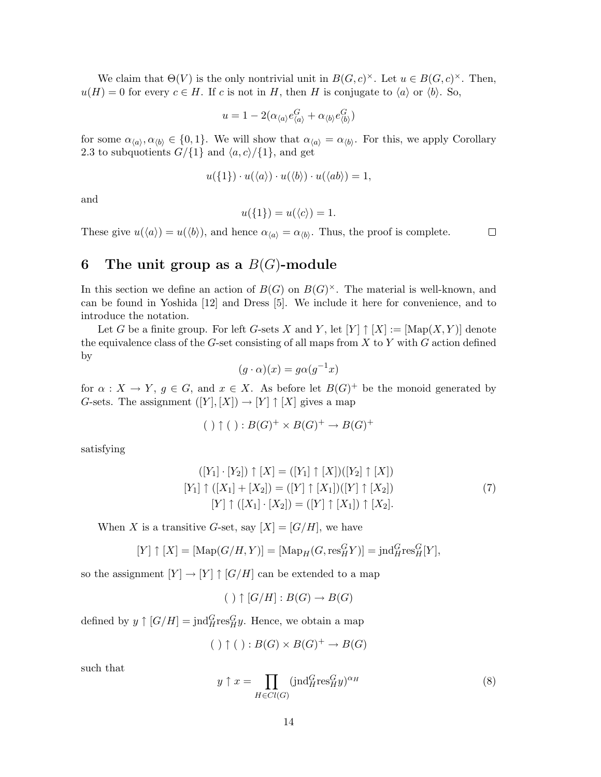We claim that  $\Theta(V)$  is the only nontrivial unit in  $B(G, c)^{\times}$ . Let  $u \in B(G, c)^{\times}$ . Then,  $u(H) = 0$  for every  $c \in H$ . If c is not in H, then H is conjugate to  $\langle a \rangle$  or  $\langle b \rangle$ . So,

$$
u = 1 - 2(\alpha_{\langle a \rangle} e_{\langle a \rangle}^G + \alpha_{\langle b \rangle} e_{\langle b \rangle}^G)
$$

for some  $\alpha_{\langle a \rangle}, \alpha_{\langle b \rangle} \in \{0, 1\}$ . We will show that  $\alpha_{\langle a \rangle} = \alpha_{\langle b \rangle}$ . For this, we apply Corollary 2.3 to subquotients  $G/{1}$  and  $\langle a, c \rangle/{1}$ , and get

$$
u(\{1\}) \cdot u(\langle a \rangle) \cdot u(\langle b \rangle) \cdot u(\langle ab \rangle) = 1,
$$

and

$$
u(\{1\}) = u(\langle c \rangle) = 1.
$$

These give  $u(\langle a \rangle) = u(\langle b \rangle)$ , and hence  $\alpha_{\langle a \rangle} = \alpha_{\langle b \rangle}$ . Thus, the proof is complete.

 $\Box$ 

# 6 The unit group as a  $B(G)$ -module

In this section we define an action of  $B(G)$  on  $B(G)^{\times}$ . The material is well-known, and can be found in Yoshida [12] and Dress [5]. We include it here for convenience, and to introduce the notation.

Let G be a finite group. For left G-sets X and Y, let  $[Y] \uparrow [X] := [\text{Map}(X, Y)]$  denote the equivalence class of the  $G$ -set consisting of all maps from  $X$  to  $Y$  with  $G$  action defined by

$$
(g \cdot \alpha)(x) = g\alpha(g^{-1}x)
$$

for  $\alpha: X \to Y$ ,  $g \in G$ , and  $x \in X$ . As before let  $B(G)^+$  be the monoid generated by G-sets. The assignment  $([Y], [X]) \to [Y] \uparrow [X]$  gives a map

$$
(\ )\uparrow (\ ):B(G)^+\times B(G)^+\rightarrow B(G)^+
$$

satisfying

$$
([Y_1] \cdot [Y_2]) \uparrow [X] = ([Y_1] \uparrow [X])([Y_2] \uparrow [X])
$$
  
\n
$$
[Y_1] \uparrow ([X_1] + [X_2]) = ([Y] \uparrow [X_1])([Y] \uparrow [X_2])
$$
  
\n
$$
[Y] \uparrow ([X_1] \cdot [X_2]) = ([Y] \uparrow [X_1]) \uparrow [X_2].
$$
\n(7)

When X is a transitive G-set, say  $[X] = [G/H]$ , we have

$$
[Y] \uparrow [X] = [\text{Map}(G/H, Y)] = [\text{Map}_H(G, \text{res}_H^G Y)] = \text{ind}_H^G \text{res}_H^G[Y],
$$

so the assignment  $[Y] \to [Y] \uparrow [G/H]$  can be extended to a map

$$
(\ ) \uparrow [G/H] : B(G) \to B(G)
$$

defined by  $y \uparrow [G/H] = \text{ind}_{H}^{G} \text{res}_{H}^{G} y$ . Hence, we obtain a map

$$
(\ )\uparrow (\ ):B(G)\times B(G)^+\rightarrow B(G)
$$

such that

$$
y \uparrow x = \prod_{H \in Cl(G)} (\text{jnd}_{H}^{G} \text{res}_{H}^{G} y)^{\alpha_{H}}
$$
(8)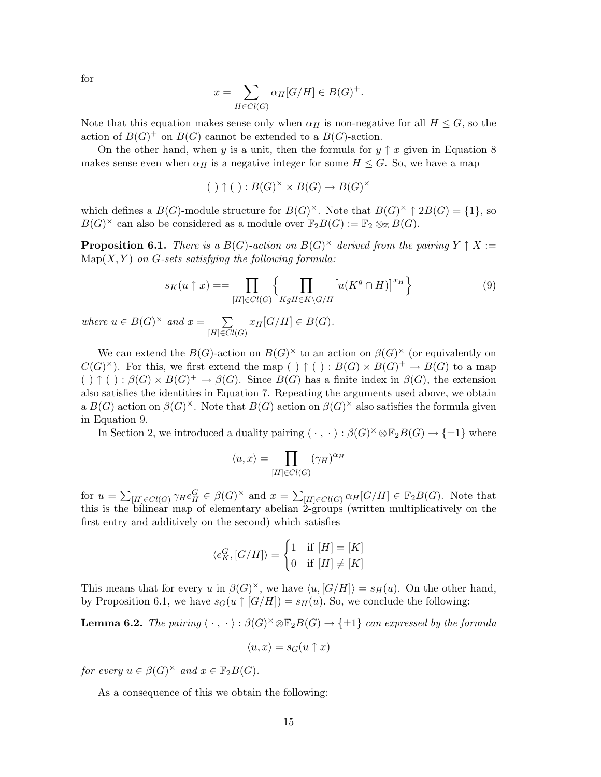for

$$
x = \sum_{H \in Cl(G)} \alpha_H[G/H] \in B(G)^+.
$$

Note that this equation makes sense only when  $\alpha_H$  is non-negative for all  $H \leq G$ , so the action of  $B(G)^+$  on  $B(G)$  cannot be extended to a  $B(G)$ -action.

On the other hand, when y is a unit, then the formula for  $y \uparrow x$  given in Equation 8 makes sense even when  $\alpha_H$  is a negative integer for some  $H \leq G$ . So, we have a map

$$
(\ )\uparrow (\ ):B(G)^{\times}\times B(G)\rightarrow B(G)^{\times}
$$

which defines a  $B(G)$ -module structure for  $B(G)^{\times}$ . Note that  $B(G)^{\times} \uparrow 2B(G) = \{1\}$ , so  $B(G)^{\times}$  can also be considered as a module over  $\mathbb{F}_2B(G) := \mathbb{F}_2 \otimes_{\mathbb{Z}} B(G)$ .

**Proposition 6.1.** There is a  $B(G)$ -action on  $B(G)^{\times}$  derived from the pairing  $Y \uparrow X :=$  $Map(X, Y)$  on G-sets satisfying the following formula:

$$
s_K(u \uparrow x) = = \prod_{[H] \in Cl(G)} \left\{ \prod_{KgH \in K \backslash G/H} \left[ u(K^g \cap H) \right]^{x_H} \right\} \tag{9}
$$

where  $u \in B(G)^{\times}$  and  $x = \sum$  $[H] \in Cl(G)$  $x_H[G/H] \in B(G)$ .

We can extend the  $B(G)$ -action on  $B(G)^{\times}$  to an action on  $\beta(G)^{\times}$  (or equivalently on  $C(G)^{\times}$ ). For this, we first extend the map ()  $\uparrow$  ():  $B(G) \times B(G)^{+} \to B(G)$  to a map  $( ) \uparrow ( ) : \beta(G) \times B(G)^{+} \to \beta(G)$ . Since  $B(G)$  has a finite index in  $\beta(G)$ , the extension also satisfies the identities in Equation 7. Repeating the arguments used above, we obtain a  $B(G)$  action on  $\beta(G)^{\times}$ . Note that  $B(G)$  action on  $\beta(G)^{\times}$  also satisfies the formula given in Equation 9.

In Section 2, we introduced a duality pairing  $\langle \cdot, \cdot \rangle : \beta(G)^{\times} \otimes \mathbb{F}_2B(G) \to \{\pm 1\}$  where

$$
\langle u, x \rangle = \prod_{[H] \in Cl(G)} (\gamma_H)^{\alpha_H}
$$

for  $u =$  $\overline{ }$  $[H] \in Cl(G)$   $\gamma_H e_H^G \in \beta(G)^{\times}$  and  $x = \sum$  $H_{[H]\in Cl(G)} \alpha_H[G/H] \in \mathbb{F}_2B(G)$ . Note that this is the bilinear map of elementary abelian 2-groups (written multiplicatively on the first entry and additively on the second) which satisfies

$$
\langle e_K^G, [G/H] \rangle = \begin{cases} 1 & \text{if } [H] = [K] \\ 0 & \text{if } [H] \neq [K] \end{cases}
$$

This means that for every u in  $\beta(G)^{\times}$ , we have  $\langle u, [G/H] \rangle = s_H(u)$ . On the other hand, by Proposition 6.1, we have  $s_G(u \upharpoonright [G/H]) = s_H(u)$ . So, we conclude the following:

**Lemma 6.2.** The pairing  $\langle \cdot, \cdot \rangle : \beta(G)^{\times} \otimes \mathbb{F}_2B(G) \rightarrow \{\pm 1\}$  can expressed by the formula

$$
\langle u, x \rangle = s_G(u \uparrow x)
$$

for every  $u \in \beta(G)^{\times}$  and  $x \in \mathbb{F}_2B(G)$ .

As a consequence of this we obtain the following: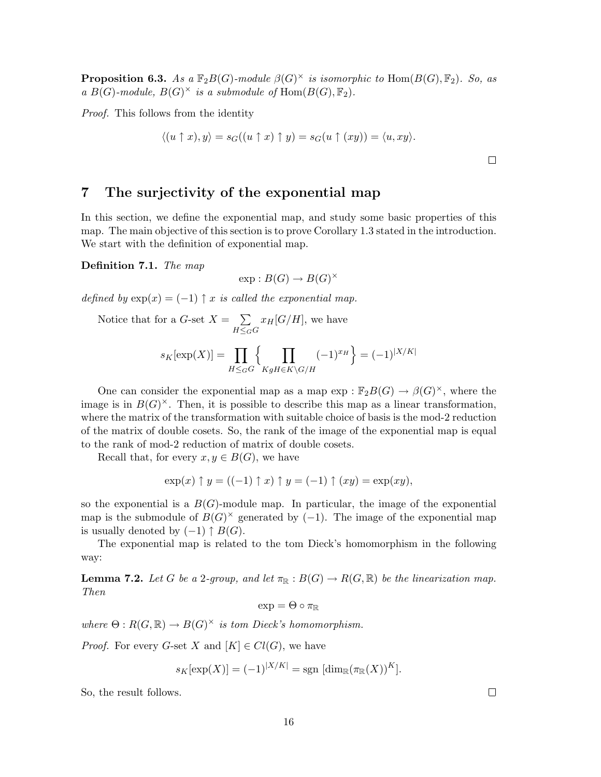**Proposition 6.3.** As a  $\mathbb{F}_2B(G)$ -module  $\beta(G)^{\times}$  is isomorphic to  $\text{Hom}(B(G), \mathbb{F}_2)$ . So, as a  $B(G)$ -module,  $B(G)^{\times}$  is a submodule of  $\text{Hom}(B(G), \mathbb{F}_2)$ .

Proof. This follows from the identity

$$
\langle (u \uparrow x), y \rangle = s_G((u \uparrow x) \uparrow y) = s_G(u \uparrow (xy)) = \langle u, xy \rangle.
$$

7 The surjectivity of the exponential map

In this section, we define the exponential map, and study some basic properties of this map. The main objective of this section is to prove Corollary 1.3 stated in the introduction. We start with the definition of exponential map.

Definition 7.1. The map

$$
\exp: B(G) \to B(G)^{\times}
$$

defined by  $exp(x) = (-1)$   $\uparrow x$  is called the exponential map.

Notice that for a *G*-set 
$$
X = \sum_{H \leq_G G} x_H[G/H]
$$
, we have

$$
s_K[\exp(X)] = \prod_{H \leq_G G} \left\{ \prod_{KgH \in K \backslash G/H} (-1)^{x_H} \right\} = (-1)^{|X/K|}
$$

One can consider the exponential map as a map  $\exp : \mathbb{F}_2B(G) \to \beta(G)^{\times}$ , where the image is in  $B(G)^{\times}$ . Then, it is possible to describe this map as a linear transformation, where the matrix of the transformation with suitable choice of basis is the mod-2 reduction of the matrix of double cosets. So, the rank of the image of the exponential map is equal to the rank of mod-2 reduction of matrix of double cosets.

Recall that, for every  $x, y \in B(G)$ , we have

$$
\exp(x) \uparrow y = ((-1) \uparrow x) \uparrow y = (-1) \uparrow (xy) = \exp(xy),
$$

so the exponential is a  $B(G)$ -module map. In particular, the image of the exponential map is the submodule of  $B(G)^{\times}$  generated by (-1). The image of the exponential map is usually denoted by  $(-1) \uparrow B(G)$ .

The exponential map is related to the tom Dieck's homomorphism in the following way:

**Lemma 7.2.** Let G be a 2-group, and let  $\pi_{\mathbb{R}} : B(G) \to R(G, \mathbb{R})$  be the linearization map. Then

$$
\exp = \Theta \circ \pi_{\mathbb{R}}
$$

where  $\Theta: R(G, \mathbb{R}) \to B(G)^{\times}$  is tom Dieck's homomorphism.

*Proof.* For every G-set X and  $[K] \in Cl(G)$ , we have

$$
s_K[\exp(X)] = (-1)^{|X/K|} = \text{sgn }[\dim_{\mathbb{R}}(\pi_{\mathbb{R}}(X))^K].
$$

So, the result follows.

 $\Box$ 

 $\Box$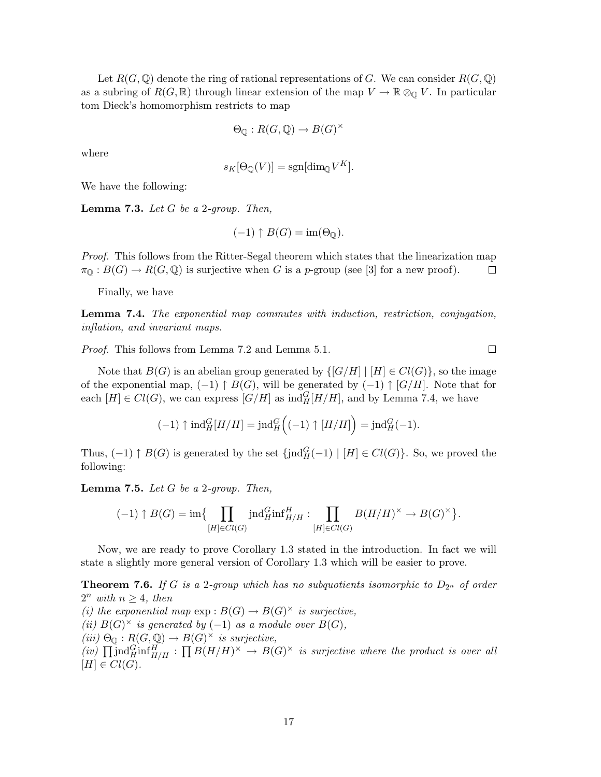Let  $R(G, \mathbb{Q})$  denote the ring of rational representations of G. We can consider  $R(G, \mathbb{Q})$ as a subring of  $R(G, \mathbb{R})$  through linear extension of the map  $V \to \mathbb{R} \otimes_{\mathbb{Q}} V$ . In particular tom Dieck's homomorphism restricts to map

$$
\Theta_{\mathbb{Q}}: R(G, \mathbb{Q}) \to B(G)^{\times}
$$

where

$$
s_K[\Theta_\mathbb{Q}(V)] = \text{sgn}[\dim_\mathbb{Q} V^K].
$$

We have the following:

**Lemma 7.3.** Let  $G$  be a 2-group. Then,

$$
(-1)\uparrow B(G)=\operatorname{im}(\Theta_{\mathbb{Q}}).
$$

Proof. This follows from the Ritter-Segal theorem which states that the linearization map  $\pi_{\mathbb{Q}} : B(G) \to R(G, \mathbb{Q})$  is surjective when G is a p-group (see [3] for a new proof).  $\Box$ 

Finally, we have

Lemma 7.4. The exponential map commutes with induction, restriction, conjugation, inflation, and invariant maps.

Proof. This follows from Lemma 7.2 and Lemma 5.1.

Note that  $B(G)$  is an abelian group generated by  $\{[G/H] | [H] \in Cl(G)\}$ , so the image of the exponential map,  $(-1) \uparrow B(G)$ , will be generated by  $(-1) \uparrow [G/H]$ . Note that for each  $[H] \in Cl(G)$ , we can express  $[G/H]$  as  $\text{ind}_{H}^{G}[H/H]$ , and by Lemma 7.4, we have

$$
(-1)\uparrow \mathrm{ind}_H^G[H/H]=\mathrm{ind}_H^G\Big((-1)\uparrow [H/H]\Big)=\mathrm{ind}_H^G(-1).
$$

Thus,  $(-1) \uparrow B(G)$  is generated by the set  $\{ \text{ind}_{H}^{G}(-1) \mid [H] \in Cl(G) \}$ . So, we proved the following:

**Lemma 7.5.** Let  $G$  be a 2-group. Then,

$$
(-1) \uparrow B(G) = \operatorname{im}\left\{\prod_{[H] \in Cl(G)} \operatorname{ind}_{H}^{G} \operatorname{inf}_{H/H}^{H} : \prod_{[H] \in Cl(G)} B(H/H)^{\times} \to B(G)^{\times}\right\}.
$$

Now, we are ready to prove Corollary 1.3 stated in the introduction. In fact we will state a slightly more general version of Corollary 1.3 which will be easier to prove.

**Theorem 7.6.** If G is a 2-group which has no subquotients isomorphic to  $D_{2^n}$  of order  $2^n$  with  $n \geq 4$ , then (i) the exponential map  $\exp : B(G) \to B(G)^{\times}$  is surjective, (ii)  $B(G)^\times$  is generated by (-1) as a module over  $B(G)$ ,  $(iii) \Theta_{\mathbb{Q}} : R(G, \mathbb{Q}) \to B(G)^{\times}$  is surjective, (iii)  $\Theta_{\mathbb{Q}}^{\mathbb{Q}}$ .  $R(\mathbf{G}, \mathbb{Q}) \to D(\mathbf{G})$  is surjective,<br>(iv)  $\prod_{i} \text{ind}_{H_i}^H \text{inf}_{H_i}^H$  :  $\prod_{i} B(H_i / H_i) \times \rightarrow B(G) \times$  is surjective where the product is over all  $[H] \in Cl(G)$ .

 $\Box$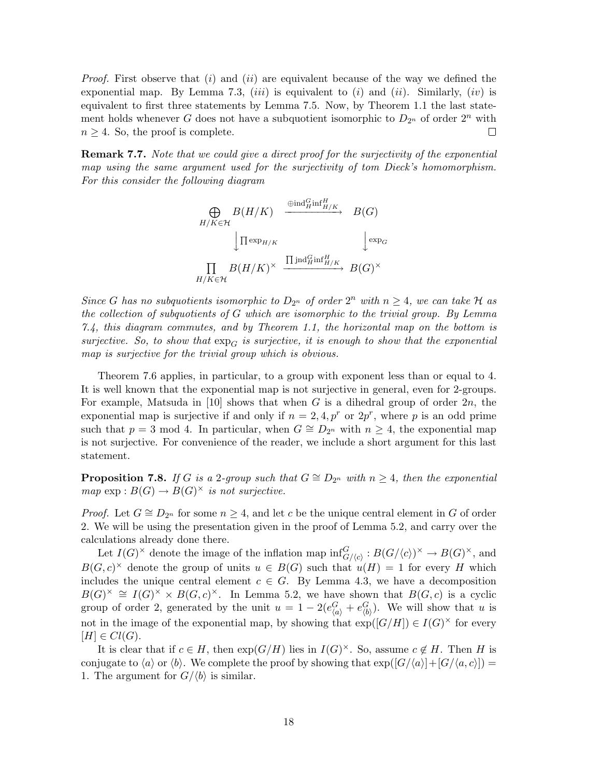*Proof.* First observe that (i) and (ii) are equivalent because of the way we defined the exponential map. By Lemma 7.3,  $(iii)$  is equivalent to  $(i)$  and  $(ii)$ . Similarly,  $(iv)$  is equivalent to first three statements by Lemma 7.5. Now, by Theorem 1.1 the last statement holds whenever G does not have a subquotient isomorphic to  $D_{2^n}$  of order  $2^n$  with  $n \geq 4$ . So, the proof is complete.  $\Box$ 

Remark 7.7. Note that we could give a direct proof for the surjectivity of the exponential map using the same argument used for the surjectivity of tom Dieck's homomorphism. For this consider the following diagram

$$
\bigoplus_{H/K \in \mathcal{H}} B(H/K) \xrightarrow{\oplus \text{ind}_{H}^G \text{inf}_{H/K}} B(G)
$$
  

$$
\downarrow \prod_{\text{exp}_{H/K}} B(H/K)^\times \xrightarrow{\coprod \text{ind}_{H}^G \text{inf}_{H/K}} B(G)^\times
$$
  

$$
\prod_{H/K \in \mathcal{H}} B(H/K)^\times \xrightarrow{\coprod \text{ind}_{H}^G \text{inf}_{H/K}} B(G)^\times
$$

Since G has no subquotients isomorphic to  $D_{2^n}$  of order  $2^n$  with  $n \geq 4$ , we can take H as the collection of subquotients of G which are isomorphic to the trivial group. By Lemma 7.4, this diagram commutes, and by Theorem 1.1, the horizontal map on the bottom is surjective. So, to show that  $\exp_C$  is surjective, it is enough to show that the exponential map is surjective for the trivial group which is obvious.

Theorem 7.6 applies, in particular, to a group with exponent less than or equal to 4. It is well known that the exponential map is not surjective in general, even for 2-groups. For example, Matsuda in [10] shows that when G is a dihedral group of order  $2n$ , the exponential map is surjective if and only if  $n = 2, 4, p^r$  or  $2p^r$ , where p is an odd prime such that  $p = 3 \mod 4$ . In particular, when  $G \cong D_{2^n}$  with  $n \geq 4$ , the exponential map is not surjective. For convenience of the reader, we include a short argument for this last statement.

**Proposition 7.8.** If G is a 2-group such that  $G \cong D_{2^n}$  with  $n \geq 4$ , then the exponential  $map \exp : B(G) \to B(G)^{\times}$  is not surjective.

*Proof.* Let  $G \cong D_{2^n}$  for some  $n \geq 4$ , and let c be the unique central element in G of order 2. We will be using the presentation given in the proof of Lemma 5.2, and carry over the calculations already done there.

Let  $I(G)^{\times}$  denote the image of the inflation map  $\inf_{G/\langle c \rangle}^G : B(G/\langle c \rangle)^{\times} \to B(G)^{\times}$ , and  $B(G, c)^{\times}$  denote the group of units  $u \in B(G)$  such that  $u(H) = 1$  for every H which includes the unique central element  $c \in G$ . By Lemma 4.3, we have a decomposition  $B(G)^{\times} \cong I(G)^{\times} \times B(G, c)^{\times}$ . In Lemma 5.2, we have shown that  $B(G, c)$  is a cyclic group of order 2, generated by the unit  $u = 1 - 2(e_{\langle a \rangle}^G + e_{\langle b \rangle}^G)$ . We will show that u is not in the image of the exponential map, by showing that  $\exp([G/H]) \in I(G)^{\times}$  for every  $[H] \in Cl(G)$ .

It is clear that if  $c \in H$ , then  $exp(G/H)$  lies in  $I(G)^{\times}$ . So, assume  $c \notin H$ . Then H is conjugate to  $\langle a \rangle$  or  $\langle b \rangle$ . We complete the proof by showing that  $\exp([G/\langle a \rangle]+[G/\langle a, c \rangle])=$ 1. The argument for  $G/\langle b \rangle$  is similar.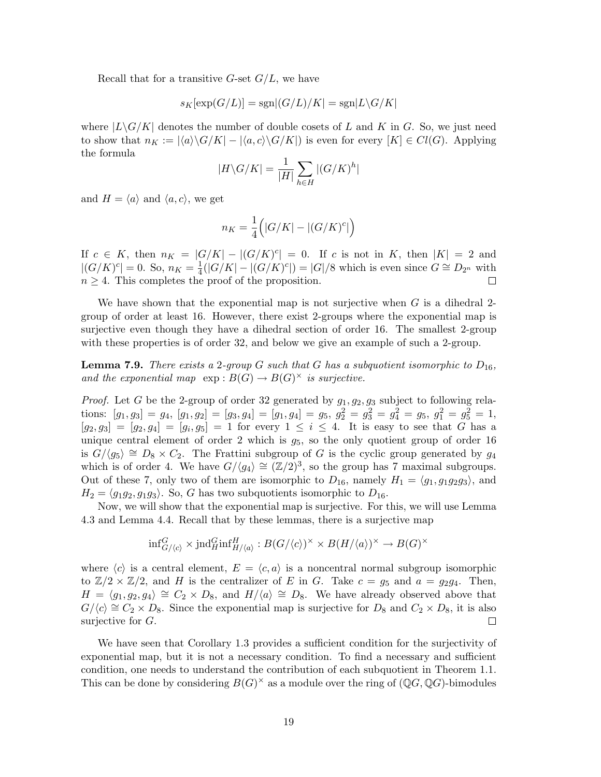Recall that for a transitive  $G$ -set  $G/L$ , we have

$$
s_K[\exp(G/L)] = \text{sgn}[(G/L)/K] = \text{sgn}[L\backslash G/K]
$$

where  $|L\backslash G/K|$  denotes the number of double cosets of L and K in G. So, we just need to show that  $n_K := |\langle a \rangle \langle G/K| - |\langle a, c \rangle \langle G/K| \rangle$  is even for every  $[K] \in Cl(G)$ . Applying the formula  $\overline{\phantom{a}}$ 

$$
|H\backslash G/K|=\frac{1}{|H|}\sum_{h\in H}|(G/K)^h|
$$

and  $H = \langle a \rangle$  and  $\langle a, c \rangle$ , we get

$$
n_K = \frac{1}{4} \Bigl( |G/K| - |(G/K)^c| \Bigr)
$$

If  $c \in K$ , then  $n_K = |G/K| - |(G/K)^c| = 0$ . If c is not in K, then  $|K| = 2$  and  $\frac{1}{4}(|G/K| - |(G/K)^c|) = |G|/8$  which is even since  $G \cong D_{2^n}$  with  $|(G/K)^c| = 0.$  So,  $n_K = \frac{1}{4}$  $n \geq 4$ . This completes the proof of the proposition.  $\Box$ 

We have shown that the exponential map is not surjective when  $G$  is a dihedral 2group of order at least 16. However, there exist 2-groups where the exponential map is surjective even though they have a dihedral section of order 16. The smallest 2-group with these properties is of order 32, and below we give an example of such a 2-group.

**Lemma 7.9.** There exists a 2-group G such that G has a subquotient isomorphic to  $D_{16}$ , and the exponential map  $\exp : B(G) \to B(G)^{\times}$  is surjective.

*Proof.* Let G be the 2-group of order 32 generated by  $g_1, g_2, g_3$  subject to following relations:  $[g_1, g_3] = g_4$ ,  $[g_1, g_2] = [g_3, g_4] = [g_1, g_4] = g_5$ ,  $g_2^2 = g_3^2 = g_4^2 = g_5$ ,  $g_1^2 = g_5^2 = 1$ ,  $[g_2, g_3] = [g_2, g_4] = [g_i, g_5] = 1$  for every  $1 \le i \le 4$ . It is easy to see that G has a unique central element of order 2 which is  $g_5$ , so the only quotient group of order 16 is  $G/(g_5) \cong D_8 \times C_2$ . The Frattini subgroup of G is the cyclic group generated by  $g_4$ which is of order 4. We have  $G/\langle g_4 \rangle \cong (\mathbb{Z}/2)^3$ , so the group has 7 maximal subgroups. Out of these 7, only two of them are isomorphic to  $D_{16}$ , namely  $H_1 = \langle q_1, q_1q_2q_3 \rangle$ , and  $H_2 = \langle q_1q_2, q_1q_3 \rangle$ . So, G has two subquotients isomorphic to  $D_{16}$ .

Now, we will show that the exponential map is surjective. For this, we will use Lemma 4.3 and Lemma 4.4. Recall that by these lemmas, there is a surjective map

$$
\text{inf}_{G/\langle c \rangle}^G \times \text{jnd}_H^G \text{inf}_{H/\langle a \rangle}^H : B(G/\langle c \rangle)^\times \times B(H/\langle a \rangle)^\times \to B(G)^\times
$$

where  $\langle c \rangle$  is a central element,  $E = \langle c, a \rangle$  is a noncentral normal subgroup isomorphic to  $\mathbb{Z}/2 \times \mathbb{Z}/2$ , and H is the centralizer of E in G. Take  $c = g_5$  and  $a = g_2g_4$ . Then,  $H = \langle g_1, g_2, g_4 \rangle \cong C_2 \times D_8$ , and  $H/\langle a \rangle \cong D_8$ . We have already observed above that  $G/\langle c \rangle \cong C_2 \times D_8$ . Since the exponential map is surjective for  $D_8$  and  $C_2 \times D_8$ , it is also surjective for  $G$ .  $\Box$ 

We have seen that Corollary 1.3 provides a sufficient condition for the surjectivity of exponential map, but it is not a necessary condition. To find a necessary and sufficient condition, one needs to understand the contribution of each subquotient in Theorem 1.1. This can be done by considering  $B(G)^{\times}$  as a module over the ring of  $(\mathbb{Q}G, \mathbb{Q}G)$ -bimodules